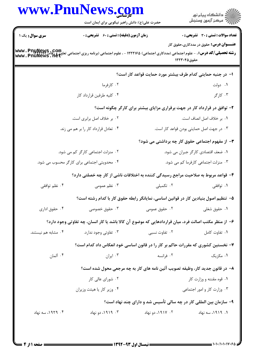|                                                               | www.PnuNews.com<br>حضرت علی(ع): دانش راهبر نیکویی برای ایمان است                                     |                                                                           | ڪ دانشڪاه پيام نور<br>ر∕ = مرڪز آزمون وسنڊش     |  |  |
|---------------------------------------------------------------|------------------------------------------------------------------------------------------------------|---------------------------------------------------------------------------|-------------------------------------------------|--|--|
| <b>سری سوال :</b> یک ۱                                        | <b>زمان آزمون (دقیقه) : تستی : 60 ٪ تشریحی : 0</b>                                                   |                                                                           | <b>تعداد سوالات : تستی : 30 ٪ تشریحی : 0</b>    |  |  |
| <b>عنــــوان درس:</b> حقوق در مددکاری،حقوق کار<br>حقوق1۲۲۴۰۴۵ |                                                                                                      |                                                                           |                                                 |  |  |
|                                                               |                                                                                                      | ا– در جنبه حمایتی کدام طرف بیشتر مورد حمایت قواعد کار است؟                |                                                 |  |  |
|                                                               | ۰۲ کارفرما                                                                                           |                                                                           | ۰۱ دولت                                         |  |  |
|                                                               | ۰۴ کلیه طرفین قرارداد کار                                                                            |                                                                           | ۰۳ کارگر                                        |  |  |
|                                                               |                                                                                                      | ۲- توافق در قرارداد کار در جهت برقراری مزایای بیشتر برای کارگر چگونه است؟ |                                                 |  |  |
| ۰۲ بر خلاف اصل برابری است.                                    |                                                                                                      | ٠١. بر خلاف اصل انصاف است.                                                |                                                 |  |  |
| ۰۴ تعادل قرارداد کار را بر هم می زند.                         |                                                                                                      | ۰۳ در جهت اصل حمایتی بودن قواعد کار است.                                  |                                                 |  |  |
|                                                               |                                                                                                      |                                                                           | ۳- از مفهوم اجتماعی حقوق کار چه برداشتی می شود؟ |  |  |
|                                                               | ۰۲ منزلت اجتماعی کارگر کم می شود.                                                                    | ۰۱ ضعف اقتصادی کارگر جبران می شود.                                        |                                                 |  |  |
| ۰۴ محدویتی اجتماعی برای کارگر محسوب می شود.                   |                                                                                                      | ۰۳ منزلت اجتماعی کارفرما کم می شود.                                       |                                                 |  |  |
|                                                               | ۴- قواعد مربوط به صلاحیت مراجع رسیدگی کننده به اختلافات ناشی از کار چه خصلتی دارد؟                   |                                                                           |                                                 |  |  |
| ۰۴ نظم توافقی                                                 | ۰۳ نظم عمومی                                                                                         | ۰۲ تکمیلی                                                                 | ۰۱ توافقي                                       |  |  |
|                                                               | ۵–  تنظیم اصول بنیادین کار در قوانین اساسی، نمایانگر رابطه حقوق کار با کدام رشته است؟                |                                                                           |                                                 |  |  |
| ۰۴ حقوق اداری                                                 | ۰۳ حقوق خصوصی                                                                                        | ۰۲ حقوق عمومی                                                             | ۰۱ حقوق شغلی                                    |  |  |
|                                                               | ۶– از منظر مکتب اصالت فرد، میان قراردادهایی که موضوع آن کالا باشد یا کار انسان، چه تفاوتی وجود دارد؟ |                                                                           |                                                 |  |  |
| ۰۴ مشابه هم نیستند.                                           | ۰۳ تفاوتی وجود ندارد.                                                                                | ۰۲ تفاوت نسبی                                                             | ٠١. تفاوت كامل                                  |  |  |
|                                                               | ۷– نخستین کشوری که مقررات حاکم بر کار را در قانون اساسی خود انعکاس داد کدام است؟                     |                                                                           |                                                 |  |  |
| ۰۴ آلمان                                                      | ۰۳ ایران                                                                                             | ۰۲ فرانسه                                                                 | ۰۱ مکزیک                                        |  |  |
|                                                               | ۸– در قانون جدید کار، وظیفه تصویب آئین نامه های کار به چه مرجعی محول شده است؟                        |                                                                           |                                                 |  |  |
|                                                               | ۰۲ شورای عالی کار                                                                                    | ۰۱ قوه مقننه و وزارت کار                                                  |                                                 |  |  |
|                                                               | ۰۴ وزیر کار یا هیئت وزیران                                                                           |                                                                           | ۰۳ وزارت کار و امور اجتماعی                     |  |  |
|                                                               |                                                                                                      | ۹- سازمان بین المللی کار در چه سالی تأسیس شد و دارای چند نهاد است؟        |                                                 |  |  |
| ۰۴ . ۱۹۲۹، سه نهاد                                            | ۰۳ ۱۹۱۹، دو نهاد                                                                                     | ۰۲ ۱۹۱۷، دو نهاد                                                          | ۰۱ ۱۹۱۹، سه نهاد                                |  |  |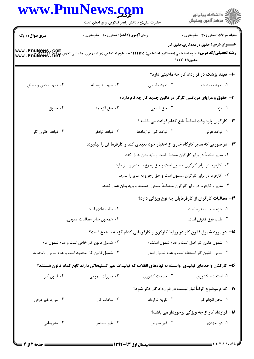|                        | حضرت علی(ع): دانش راهبر نیکویی برای ایمان است  |                                                                                                                                                                       | ر<br>اڳ دانشڪاه پيام نور<br>اڳ مرڪز آزمون وسنڊش               |
|------------------------|------------------------------------------------|-----------------------------------------------------------------------------------------------------------------------------------------------------------------------|---------------------------------------------------------------|
| <b>سری سوال : ۱ یک</b> | زمان آزمون (دقیقه) : تستی : 60 گشریحی : 0      |                                                                                                                                                                       | <b>تعداد سوالات : تستی : 30 ٪ تشریحی : 0</b>                  |
|                        |                                                | www . PnuNews . Com<br> و <b>شته تحصیلی/کد درس:</b> علوم اجتماعی (مددکاری اجتماعی) ۱۲۲۲۱۶۵ - ، علوم اجتماعی (برنامه ریزی اجتماعی تعاون ورقاه)<br> www . PnuNews . net | <b>عنــــوان درس:</b> حقوق در مددکاری،حقوق کار<br>حقوق1۲۲۳۰۴۵ |
|                        |                                                |                                                                                                                                                                       | ۱۰– تعهد پزشک در قرارداد کار چه ماهیتی دارد؟                  |
| ۰۴ تعهد محض و مطلق     | ۰۳ تعهد به وسیله                               | ۰۲ تعهد طبیعی                                                                                                                                                         | ۰۱ تعهد به نتيجه                                              |
|                        |                                                | 11- حقوق و مزایای دریافتی کارگر در قانون جدید کار چه نام دارد؟                                                                                                        |                                                               |
| ۰۴ حقوق                | ۰۳ حق الزحمه                                   | ٠٢ حق السعي                                                                                                                                                           | ۰۱ مزد                                                        |
|                        |                                                |                                                                                                                                                                       | ۱۲– کارگران پاره وقت اساساً تابع کدام قواعد می باشند؟         |
| ۰۴ قواعد حقوق کار      | ۰۳ قواعد توافقي                                | ۰۲ قواعد کلی قراردادها                                                                                                                                                | ۰۱ قواعد عرفی                                                 |
|                        |                                                | ۱۳- در صورتی که مدیر کارگاه خارج از اختیار خود تعهدی کند و کارفرما آن را نپذیرد:                                                                                      |                                                               |
|                        |                                                | ۰۱ مدیر شخصاً در برابر کارگران مسئول است و باید بدان عمل کند.                                                                                                         |                                                               |
|                        |                                                | ۰۲ کارفرما در برابر کارگران مسئول است و حق رجوع به مدیر را نیز دارد.                                                                                                  |                                                               |
|                        |                                                | ۰۳ کارفرما در برابر کارگران مسئول است و حق رجوع به مدیر را ندارد.                                                                                                     |                                                               |
|                        |                                                | ۰۴ مدیر و کارفرما در برابر کارگران متضامناً مسئول هستند و باید بدان عمل کنند.                                                                                         |                                                               |
|                        |                                                |                                                                                                                                                                       | ۱۴– مطالبات کارگران از کارفرمایان چه نوع ویژگی دارد؟          |
|                        | ۰۲ طلب عادی است.                               |                                                                                                                                                                       | ۰۱ جزء طلب ممتازه است.                                        |
|                        | ۰۴ همچون سایر مطالبات عمومی.                   |                                                                                                                                                                       | ۰۳ طلب فوق قانونی است.                                        |
|                        |                                                | ۱۵− در مورد شمول قانون کار در روابط کارگری و کارفرمایی کدام گزینه صحیح است؟                                                                                           |                                                               |
|                        | ۰۲ شمول قانون کار خاص است و عدم شمول عام       |                                                                                                                                                                       | ۰۱ شمول قانون کار اصل است و عدم شمول استثناء                  |
|                        | ۰۴ شمول قانون کار محدود است و عدم شمول نامحدود |                                                                                                                                                                       | ۰۳ شمول قانون کار استثناء است و عدم شمول اصل                  |
|                        |                                                | ۱۶– کارکنان واحدهای تولیدی وابسته به نهادهای انقلاب که تولیدات غیر تسلیحاتی دارند تابع کدام قانون هستند؟                                                              |                                                               |
| ۰۴ قانون کار           | ۰۳ مقررات عمومی                                | ۰۲ خدمات کشوری                                                                                                                                                        | ۰۱ استخدام کشوری                                              |
|                        |                                                | ۱۷– کدام موضوع الزاماً نیاز نیست در قرارداد کار ذکر شود؟                                                                                                              |                                                               |
| ۰۴ موارد غیر عرفی      | ۰۳ ساعات کار                                   | ۰۲ تاریخ قرارداد                                                                                                                                                      | ٠١. محل انجام كار                                             |
|                        |                                                |                                                                                                                                                                       | 18– قرارداد کار از چه ویژگی برخوردار می باشد؟                 |
|                        |                                                |                                                                                                                                                                       |                                                               |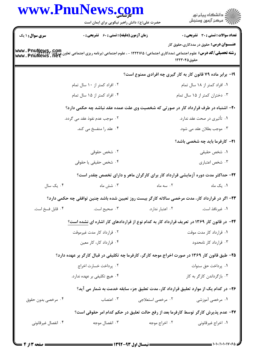|                                                                                                  | www.PnuNews.com<br>حضرت علی(ع): دانش راهبر نیکویی برای ایمان است                                                                                                                                                     |                   | ڪ دانشڪاه پيا <sub>م</sub> نور<br>۾ سرڪز آزمون وسنڊش                                                          |  |  |
|--------------------------------------------------------------------------------------------------|----------------------------------------------------------------------------------------------------------------------------------------------------------------------------------------------------------------------|-------------------|---------------------------------------------------------------------------------------------------------------|--|--|
| <b>سری سوال : ۱ یک</b>                                                                           | <b>زمان آزمون (دقیقه) : تستی : 60 ٪ تشریحی : 0</b><br><b>رشته تحصیلی/کد درس:</b> علوم اجتماعی (مددکاری اجتماعی) ۱۲۲۲۱۶۵ - ، علوم اجتماعی (برنامه ریزی اجتماعی تعاون ورفه) www . PnuNewS , net<br>www . PnuNews . net |                   | <b>تعداد سوالات : تستی : 30 ٪ تشریحی : 0</b><br><b>عنــــوان درس:</b> حقوق در مددکاری،حقوق کار<br>حقوق1۲۲۴۰۴۵ |  |  |
|                                                                                                  |                                                                                                                                                                                                                      |                   | ۱۹- برابر ماده ۷۹ قانون کار به کار گیری چه افرادی ممنوع است؟                                                  |  |  |
|                                                                                                  | ۰۲ افراد کمتر از ۱۰ سال تمام                                                                                                                                                                                         |                   | ۰۱ افراد کمتر از ۱۸ سال تمام                                                                                  |  |  |
|                                                                                                  | ۰۴ افراد کمتر از ۱۵ سال تمام                                                                                                                                                                                         |                   | ۰۳ دختران کمتر از ۱۵ سال تمام                                                                                 |  |  |
|                                                                                                  | ۲۰- اشتباه در طرف قرارداد کار در صورتی که شخصیت وی علت عمده عقد نباشد چه حکمی دارد؟                                                                                                                                  |                   |                                                                                                               |  |  |
|                                                                                                  | ۰۲ موجب عدم نفوذ عقد می گردد.                                                                                                                                                                                        |                   | ۰۱ تأثیری در صحت عقد ندارد.                                                                                   |  |  |
|                                                                                                  | ۰۴ عقد را منفسخ می کند.                                                                                                                                                                                              |                   | ۰۳ موجب بطلان عقد می شود.                                                                                     |  |  |
|                                                                                                  |                                                                                                                                                                                                                      |                   | <b>۲۱</b> - کارفرما باید چه شخصی باشد؟                                                                        |  |  |
|                                                                                                  | ۰۲ شخص حقوقی                                                                                                                                                                                                         |                   | ۰۱ شخص حقیقی                                                                                                  |  |  |
|                                                                                                  | ۰۴ شخص حقیقی یا حقوقی                                                                                                                                                                                                |                   | ۰۳ شخص اعتباري                                                                                                |  |  |
|                                                                                                  |                                                                                                                                                                                                                      |                   | ۲۲- حداکثر مدت دوره آزمایشی قرارداد کار برای کارگران ماهر و دارای تخصص چقدر است؟                              |  |  |
| ۰۴ یک سال                                                                                        | ۰۳ شش ماه                                                                                                                                                                                                            | ۰۲ سه ماه         | ۰۱ یک ماه                                                                                                     |  |  |
| ۲۳- اگر در قرارداد کار، مدت مرخصی سالانه کارگر بیست روز تعیین شده باشد چنین توافقی چه حکمی دارد؟ |                                                                                                                                                                                                                      |                   |                                                                                                               |  |  |
| ۰۴ قابل فسخ است.                                                                                 | ۰۳ صحیح است.                                                                                                                                                                                                         | ۰۲ اعتبار ندارد.  | ۰۱ غیرنافذ است.                                                                                               |  |  |
|                                                                                                  | ۲۴- در قانون کار ۱۳۶۹ در تعریف قرارداد کار به کدام نوع از قراردادهای کار اشاره ای نشده است؟                                                                                                                          |                   |                                                                                                               |  |  |
|                                                                                                  | ۰۲ قرارداد کار مدت غیرموقت                                                                                                                                                                                           |                   | ۰۱ قرارداد کار مدت موقت                                                                                       |  |  |
|                                                                                                  | ۰۴ قرارداد کار، کار معین                                                                                                                                                                                             |                   | ۰۳ قرارداد کار نامحدود                                                                                        |  |  |
|                                                                                                  | ۲۵– طبق قانون کار ۱۳۶۹ در صورت اخراج موجه کارگر، کارفرما چه تکلیفی در قبال کارگر بر عهده دارد؟                                                                                                                       |                   |                                                                                                               |  |  |
|                                                                                                  | ۰۲ پرداخت خسارت اخراج                                                                                                                                                                                                |                   | ٠١. پرداخت حق سنوات                                                                                           |  |  |
|                                                                                                  | ۰۴ هیچ تکلیفی بر عهده ندارد.                                                                                                                                                                                         |                   | ۰۳ بازگرداندن کارگر به کار                                                                                    |  |  |
|                                                                                                  |                                                                                                                                                                                                                      |                   | ۲۶- در کدام یک از موارد تعلیق قرارداد کار، مدت تعلیق جزء سابقه خدمت به شمار می آید؟                           |  |  |
| ۰۴ مرخصی بدون حقوق                                                                               | ۰۳ اعتصاب                                                                                                                                                                                                            | ۰۲ مرخصي استعلاجي | ۰۱ مرخصی آموزشی                                                                                               |  |  |
|                                                                                                  |                                                                                                                                                                                                                      |                   | ۲۷– عدم پذیرش کارگر توسط کارفرما بعد از رفع حالت تعلیق در حکم کدام امر حقوقی است؟                             |  |  |
| ۰۴ انفصال غیرقانونی                                                                              | ۰۳ انفصال موجه                                                                                                                                                                                                       | ۰۲ اخراج موجه     | ٠١. اخراج غيرقانوني                                                                                           |  |  |
|                                                                                                  |                                                                                                                                                                                                                      |                   |                                                                                                               |  |  |